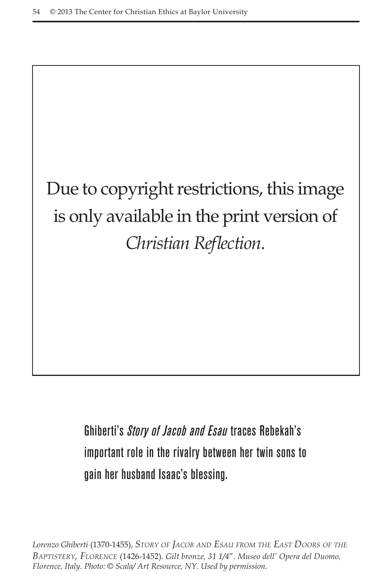## Due to copyright restrictions, this image is only available in the print version of *Christian Reflection*.

Ghiberti's *Story of Jacob and Esau* traces Rebekah's important role in the rivalry between her twin sons to gain her husband Isaac's blessing.